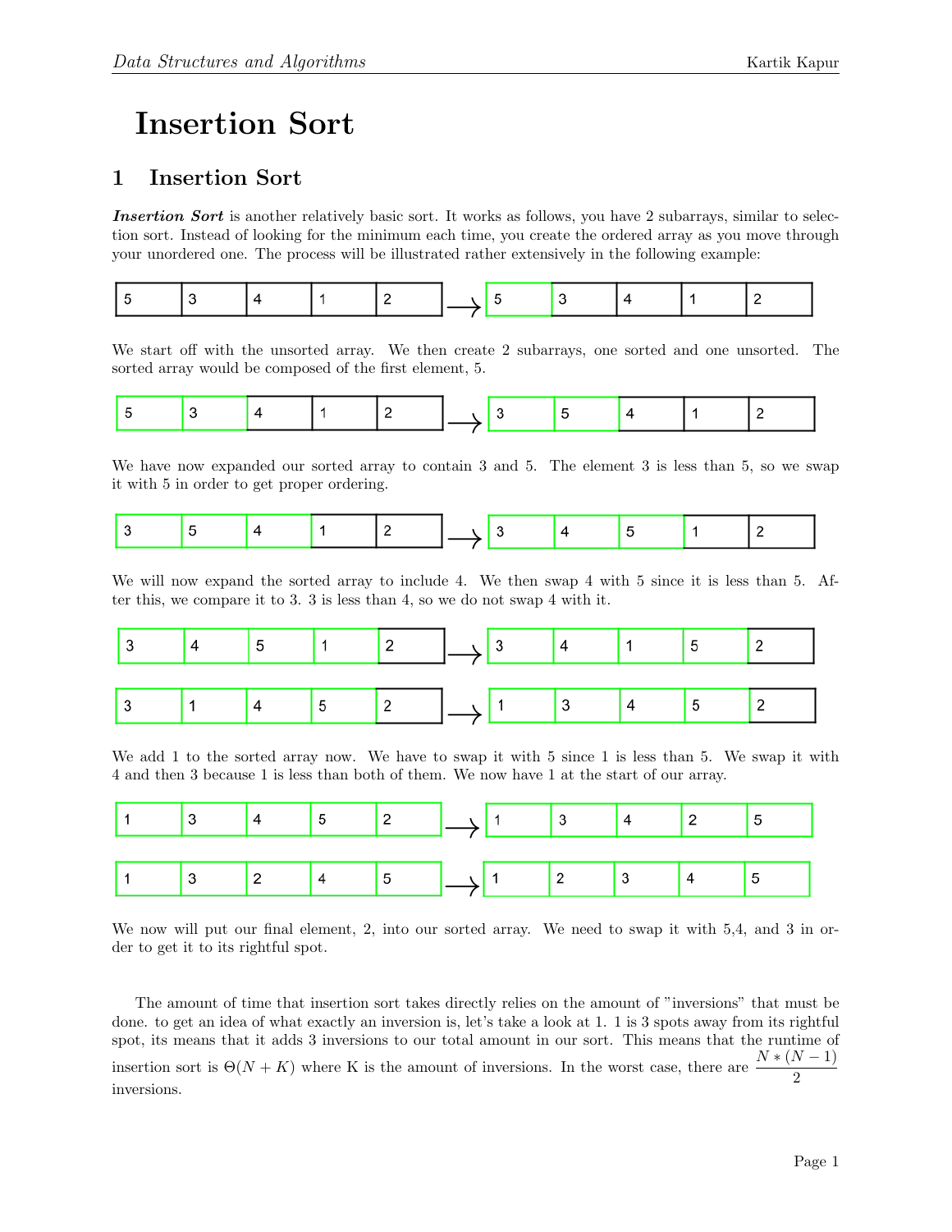## Insertion Sort

## 1 Insertion Sort

Insertion Sort is another relatively basic sort. It works as follows, you have 2 subarrays, similar to selection sort. Instead of looking for the minimum each time, you create the ordered array as you move through your unordered one. The process will be illustrated rather extensively in the following example:

|--|--|--|--|--|--|--|--|--|--|--|--|

We start off with the unsorted array. We then create 2 subarrays, one sorted and one unsorted. The sorted array would be composed of the first element, 5.

|--|--|--|--|--|--|--|--|--|--|--|--|--|

We have now expanded our sorted array to contain 3 and 5. The element 3 is less than 5, so we swap it with 5 in order to get proper ordering.

|--|--|--|--|--|--|--|--|--|--|--|--|

We will now expand the sorted array to include 4. We then swap 4 with 5 since it is less than 5. After this, we compare it to 3. 3 is less than 4, so we do not swap 4 with it.

We add 1 to the sorted array now. We have to swap it with 5 since 1 is less than 5. We swap it with 4 and then 3 because 1 is less than both of them. We now have 1 at the start of our array.

We now will put our final element, 2, into our sorted array. We need to swap it with 5,4, and 3 in order to get it to its rightful spot.

The amount of time that insertion sort takes directly relies on the amount of "inversions" that must be done. to get an idea of what exactly an inversion is, let's take a look at 1. 1 is 3 spots away from its rightful spot, its means that it adds 3 inversions to our total amount in our sort. This means that the runtime of insertion sort is  $\Theta(N+K)$  where K is the amount of inversions. In the worst case, there are  $\frac{N*(N-1)}{2}$ inversions.